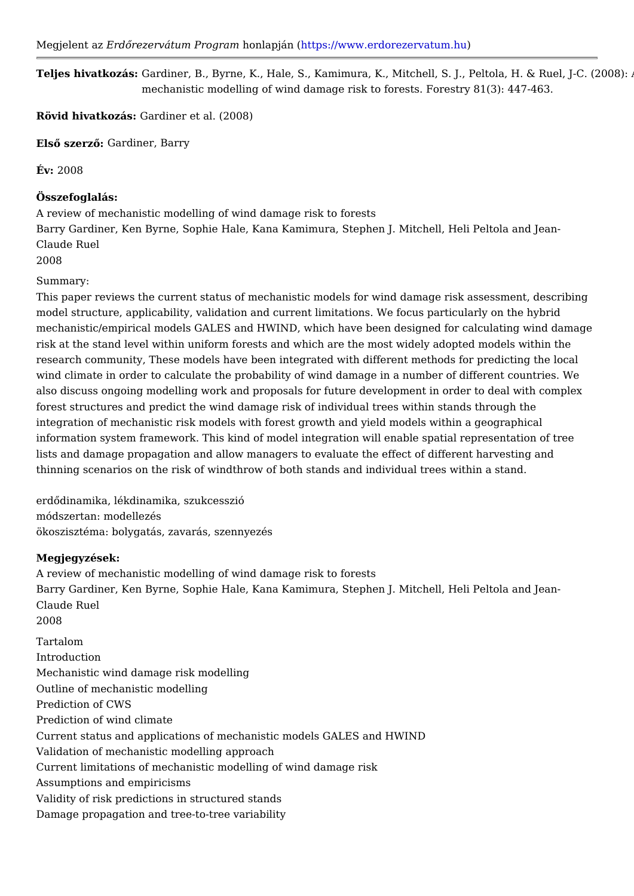Megjelent Earzd Qrezervátum Prohopmal mapjántt ( ps://www.erdorezerv atum.hu

Teljes hivatkozGássrdiner, B., Byrne, K., Hale, S., Kamimura, K., Mitchell, S. J., Pe mechanistic modelling of wind damage risk to forests. Forestry 81(3): 447-463.

Rövid hivatkoz@ardiner et al. (2008)

ElsQ szer£Qardiner, Barry

 $Év: 2008$ 

Összefoglalás: A review of mechanistic modelling of wind damage risk to forests Barry Gardiner, Ken Byrne, Sophie Hale, Kana Kamimura, Stephen J. Mitchell, He Claude Ruel 2008

Summary:

This paper reviews the current status of mechanistic models for wind damage risk model structure, applicability, validation and current limitations. We focus partice mechanistic/empirical models GALES and HWIND, which have been designed for ca risk at the stand level within uniform forests and which are the most widely adopt research community, These models have been integrated with different methods for wind climate in order to calculate the probability of wind damage in a number of d also discuss ongoing modelling work and proposals for future development in orde forest structures and predict the wind damage risk of individual trees within stand integration of mechanistic risk models with forest growth and yield models within information system framework. This kind of model integration will enable spatial r lists and damage propagation and allow managers to evaluate the effect of differe thinning scenarios on the risk of windthrow of both stands and individual trees wi

erdQdinamika, lékdinamika, szukcesszió módszertan: modellezés ökoszisztéma: bolygatás, zavarás, szennyezés

Megjegyzések:

A review of mechanistic modelling of wind damage risk to forests Barry Gardiner, Ken Byrne, Sophie Hale, Kana Kamimura, Stephen J. Mitchell, He Claude Ruel 2008

Tartalom Introduction Mechanistic wind damage risk modelling Outline of mechanistic modelling Prediction of CWS Prediction of wind climate Current status and applications of mechanistic models GALES and HWIND Validation of mechanistic modelling approach Current limitations of mechanistic modelling of wind damage risk Assumptions and empiricisms Validity of risk predictions in structured stands Damage propagation and tree-to-tree variability